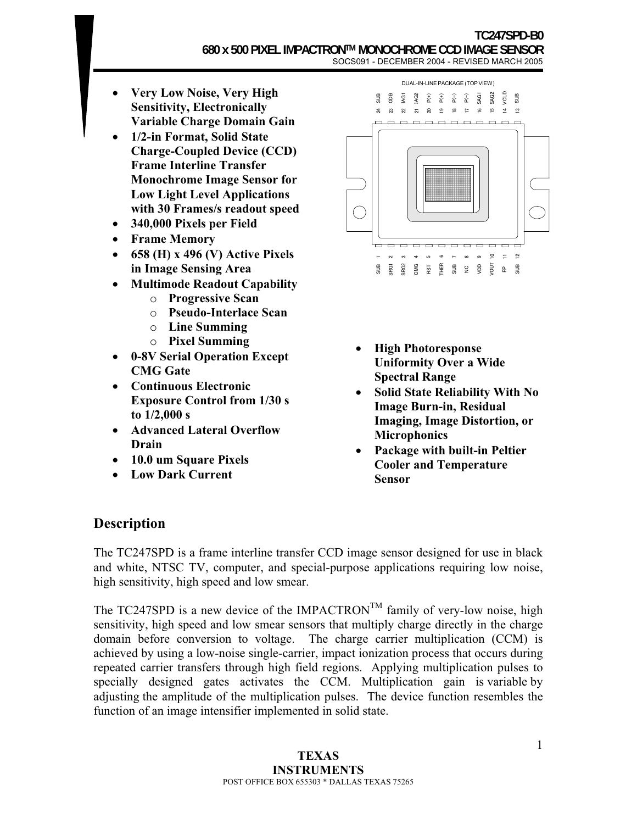- **Very Low Noise, Very High Sensitivity, Electronically Variable Charge Domain Gain**
- **1/2-in Format, Solid State Charge-Coupled Device (CCD) Frame Interline Transfer Monochrome Image Sensor for Low Light Level Applications with 30 Frames/s readout speed**
- **340,000 Pixels per Field**
- **Frame Memory**
- **658 (H) x 496 (V) Active Pixels in Image Sensing Area**
- **Multimode Readout Capability** 
	- o **Progressive Scan**
	- o **Pseudo-Interlace Scan**
	- o **Line Summing**
	- o **Pixel Summing**
- **0-8V Serial Operation Except CMG Gate**
- **Continuous Electronic Exposure Control from 1/30 s to 1/2,000 s**
- **Advanced Lateral Overflow Drain**
- **10.0 um Square Pixels**
- **Low Dark Current**



- **High Photoresponse Uniformity Over a Wide Spectral Range**
- **Solid State Reliability With No Image Burn-in, Residual Imaging, Image Distortion, or Microphonics**
- **Package with built-in Peltier Cooler and Temperature Sensor**

## **Description**

The TC247SPD is a frame interline transfer CCD image sensor designed for use in black and white, NTSC TV, computer, and special-purpose applications requiring low noise, high sensitivity, high speed and low smear.

The TC247SPD is a new device of the IMPACTRON<sup>TM</sup> family of very-low noise, high sensitivity, high speed and low smear sensors that multiply charge directly in the charge domain before conversion to voltage. The charge carrier multiplication (CCM) is achieved by using a low-noise single-carrier, impact ionization process that occurs during repeated carrier transfers through high field regions. Applying multiplication pulses to specially designed gates activates the CCM. Multiplication gain is variable by adjusting the amplitude of the multiplication pulses. The device function resembles the function of an image intensifier implemented in solid state.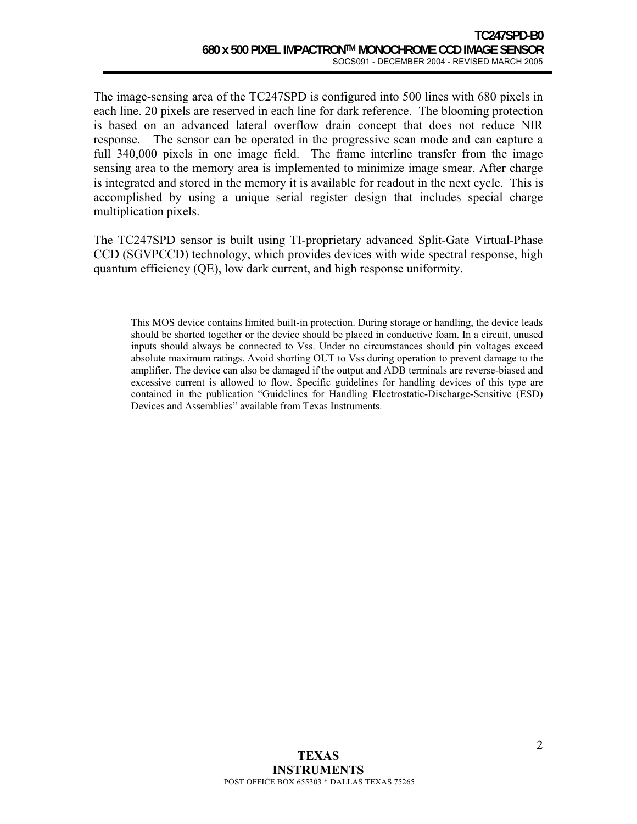The image-sensing area of the TC247SPD is configured into 500 lines with 680 pixels in each line. 20 pixels are reserved in each line for dark reference. The blooming protection is based on an advanced lateral overflow drain concept that does not reduce NIR response. The sensor can be operated in the progressive scan mode and can capture a full 340,000 pixels in one image field. The frame interline transfer from the image sensing area to the memory area is implemented to minimize image smear. After charge is integrated and stored in the memory it is available for readout in the next cycle. This is accomplished by using a unique serial register design that includes special charge multiplication pixels.

The TC247SPD sensor is built using TI-proprietary advanced Split-Gate Virtual-Phase CCD (SGVPCCD) technology, which provides devices with wide spectral response, high quantum efficiency (QE), low dark current, and high response uniformity.

This MOS device contains limited built-in protection. During storage or handling, the device leads should be shorted together or the device should be placed in conductive foam. In a circuit, unused inputs should always be connected to Vss. Under no circumstances should pin voltages exceed absolute maximum ratings. Avoid shorting OUT to Vss during operation to prevent damage to the amplifier. The device can also be damaged if the output and ADB terminals are reverse-biased and excessive current is allowed to flow. Specific guidelines for handling devices of this type are contained in the publication "Guidelines for Handling Electrostatic-Discharge-Sensitive (ESD) Devices and Assemblies" available from Texas Instruments.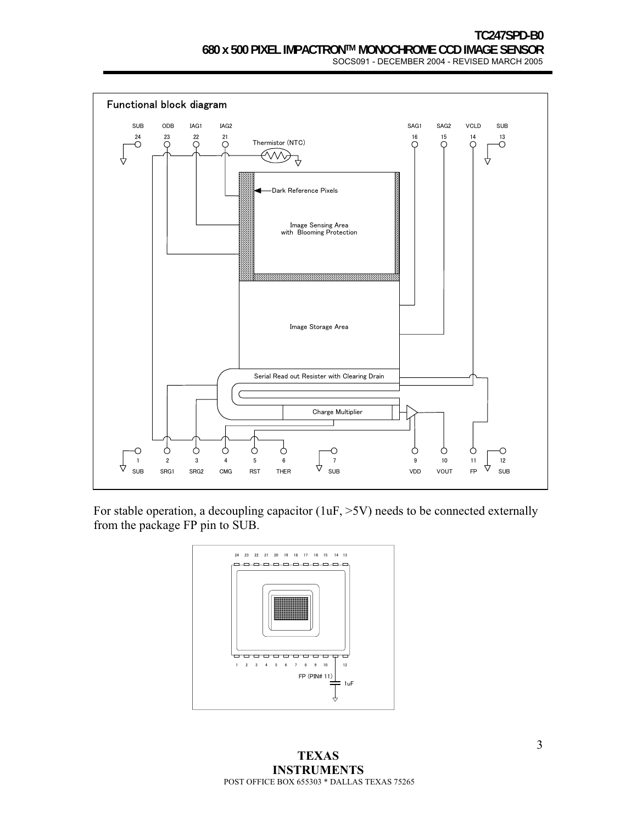

For stable operation, a decoupling capacitor (1uF,  $>5V$ ) needs to be connected externally from the package FP pin to SUB.



**TEXAS INSTRUMENTS**  POST OFFICE BOX 655303 \* DALLAS TEXAS 75265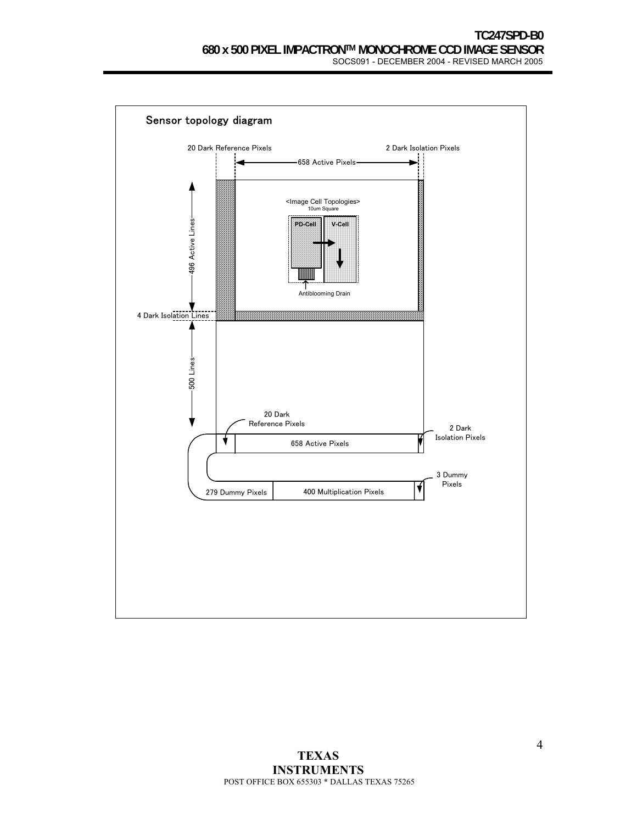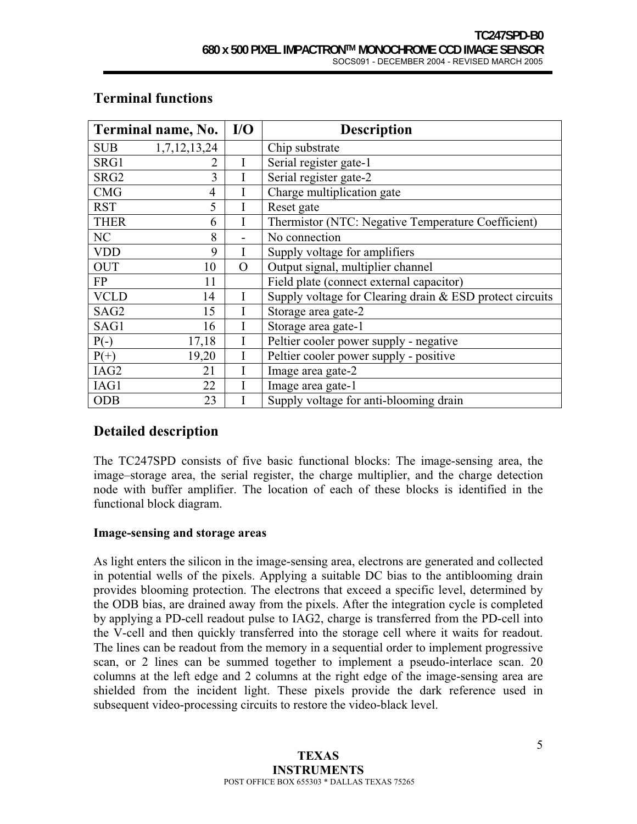| Terminal name, No. |                | I/O         | <b>Description</b>                                       |  |
|--------------------|----------------|-------------|----------------------------------------------------------|--|
| <b>SUB</b>         | 1,7,12,13,24   |             | Chip substrate                                           |  |
| SRG1               | 2              | $\mathbf I$ | Serial register gate-1                                   |  |
| SRG <sub>2</sub>   | 3              |             | Serial register gate-2                                   |  |
| <b>CMG</b>         | $\overline{4}$ |             | Charge multiplication gate                               |  |
| <b>RST</b>         | 5              | I           | Reset gate                                               |  |
| <b>THER</b>        | 6              | I           | Thermistor (NTC: Negative Temperature Coefficient)       |  |
| NC                 | 8              |             | No connection                                            |  |
| <b>VDD</b>         | 9              | I           | Supply voltage for amplifiers                            |  |
| <b>OUT</b>         | 10             | $\Omega$    | Output signal, multiplier channel                        |  |
| FP                 | 11             |             | Field plate (connect external capacitor)                 |  |
| <b>VCLD</b>        | 14             | I           | Supply voltage for Clearing drain & ESD protect circuits |  |
| SAG <sub>2</sub>   | 15             |             | Storage area gate-2                                      |  |
| SAG1               | 16             |             | Storage area gate-1                                      |  |
| $P(-)$             | 17,18          | I           | Peltier cooler power supply - negative                   |  |
| $P(+)$             | 19,20          | I           | Peltier cooler power supply - positive                   |  |
| IAG2               | 21             | I           | Image area gate-2                                        |  |
| IAG1               | 22             | I           | Image area gate-1                                        |  |
| <b>ODB</b>         | 23             |             | Supply voltage for anti-blooming drain                   |  |

## **Terminal functions**

## **Detailed description**

The TC247SPD consists of five basic functional blocks: The image-sensing area, the image–storage area, the serial register, the charge multiplier, and the charge detection node with buffer amplifier. The location of each of these blocks is identified in the functional block diagram.

## **Image-sensing and storage areas**

As light enters the silicon in the image-sensing area, electrons are generated and collected in potential wells of the pixels. Applying a suitable DC bias to the antiblooming drain provides blooming protection. The electrons that exceed a specific level, determined by the ODB bias, are drained away from the pixels. After the integration cycle is completed by applying a PD-cell readout pulse to IAG2, charge is transferred from the PD-cell into the V-cell and then quickly transferred into the storage cell where it waits for readout. The lines can be readout from the memory in a sequential order to implement progressive scan, or 2 lines can be summed together to implement a pseudo-interlace scan. 20 columns at the left edge and 2 columns at the right edge of the image-sensing area are shielded from the incident light. These pixels provide the dark reference used in subsequent video-processing circuits to restore the video-black level.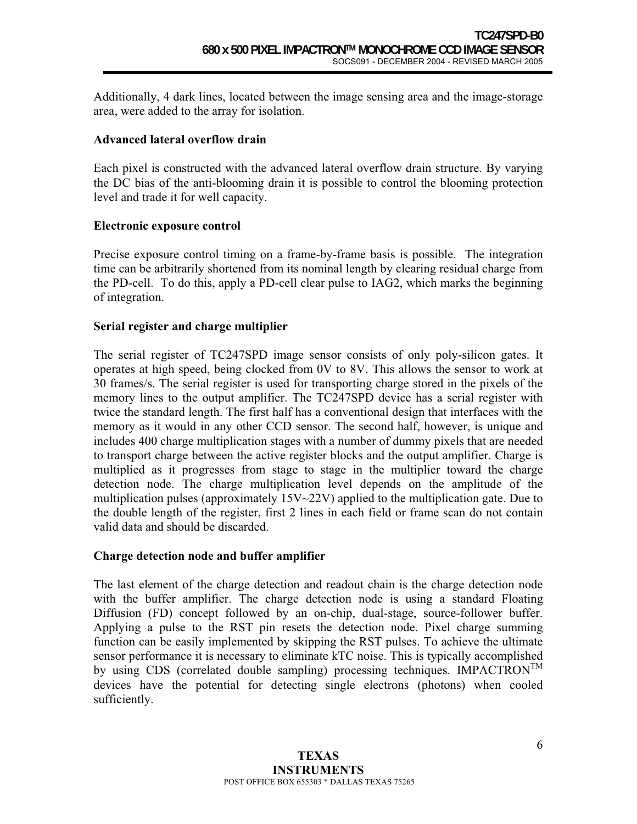Additionally, 4 dark lines, located between the image sensing area and the image-storage area, were added to the array for isolation.

### **Advanced lateral overflow drain**

Each pixel is constructed with the advanced lateral overflow drain structure. By varying the DC bias of the anti-blooming drain it is possible to control the blooming protection level and trade it for well capacity.

### **Electronic exposure control**

Precise exposure control timing on a frame-by-frame basis is possible. The integration time can be arbitrarily shortened from its nominal length by clearing residual charge from the PD-cell. To do this, apply a PD-cell clear pulse to IAG2, which marks the beginning of integration.

## **Serial register and charge multiplier**

The serial register of TC247SPD image sensor consists of only poly-silicon gates. It operates at high speed, being clocked from 0V to 8V. This allows the sensor to work at 30 frames/s. The serial register is used for transporting charge stored in the pixels of the memory lines to the output amplifier. The TC247SPD device has a serial register with twice the standard length. The first half has a conventional design that interfaces with the memory as it would in any other CCD sensor. The second half, however, is unique and includes 400 charge multiplication stages with a number of dummy pixels that are needed to transport charge between the active register blocks and the output amplifier. Charge is multiplied as it progresses from stage to stage in the multiplier toward the charge detection node. The charge multiplication level depends on the amplitude of the multiplication pulses (approximately 15V~22V) applied to the multiplication gate. Due to the double length of the register, first 2 lines in each field or frame scan do not contain valid data and should be discarded.

### **Charge detection node and buffer amplifier**

The last element of the charge detection and readout chain is the charge detection node with the buffer amplifier. The charge detection node is using a standard Floating Diffusion (FD) concept followed by an on-chip, dual-stage, source-follower buffer. Applying a pulse to the RST pin resets the detection node. Pixel charge summing function can be easily implemented by skipping the RST pulses. To achieve the ultimate sensor performance it is necessary to eliminate kTC noise. This is typically accomplished by using CDS (correlated double sampling) processing techniques. IMPACTRON<sup>TM</sup> devices have the potential for detecting single electrons (photons) when cooled sufficiently.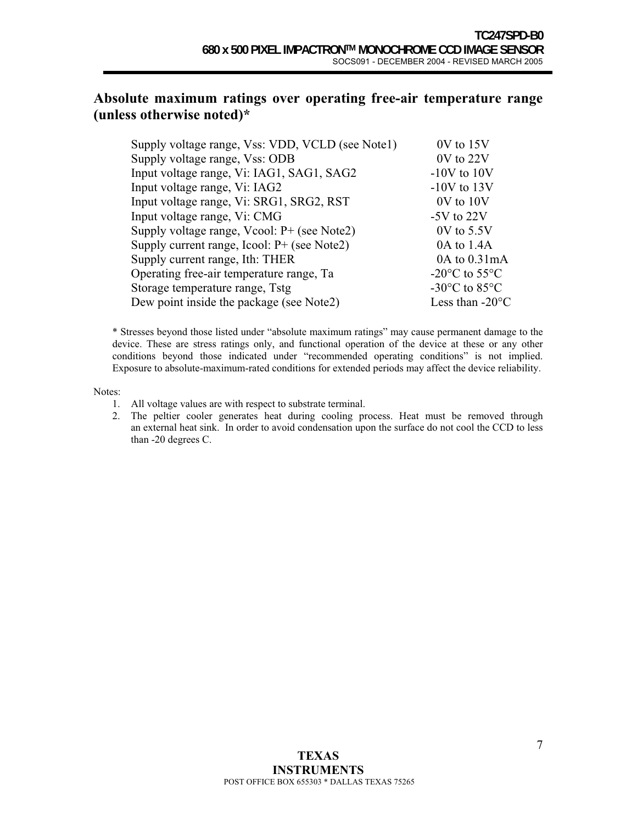## **Absolute maximum ratings over operating free-air temperature range (unless otherwise noted)\***

| Supply voltage range, Vss: VDD, VCLD (see Note1) | 0V to 15V                                   |
|--------------------------------------------------|---------------------------------------------|
| Supply voltage range, Vss: ODB                   | 0V to 22V                                   |
| Input voltage range, Vi: IAG1, SAG1, SAG2        | $-10V$ to $10V$                             |
| Input voltage range, Vi: IAG2                    | $-10V$ to $13V$                             |
| Input voltage range, Vi: SRG1, SRG2, RST         | 0V to 10V                                   |
| Input voltage range, Vi: CMG                     | $-5V$ to $22V$                              |
| Supply voltage range, Vcool: P+ (see Note2)      | $0V$ to $5.5V$                              |
| Supply current range, Icool: $P+$ (see Note2)    | 0A to 1.4A                                  |
| Supply current range, Ith: THER                  | $0A$ to $0.31mA$                            |
| Operating free-air temperature range, Ta         | -20 $^{\circ}$ C to 55 $^{\circ}$ C         |
| Storage temperature range, Tstg                  | -30 $\rm{^{\circ}C}$ to 85 $\rm{^{\circ}C}$ |
| Dew point inside the package (see Note2)         | Less than $-20^{\circ}$ C                   |
|                                                  |                                             |

\* Stresses beyond those listed under "absolute maximum ratings" may cause permanent damage to the device. These are stress ratings only, and functional operation of the device at these or any other conditions beyond those indicated under "recommended operating conditions" is not implied. Exposure to absolute-maximum-rated conditions for extended periods may affect the device reliability.

Notes:

- 1. All voltage values are with respect to substrate terminal.
- 2. The peltier cooler generates heat during cooling process. Heat must be removed through an external heat sink. In order to avoid condensation upon the surface do not cool the CCD to less than -20 degrees C.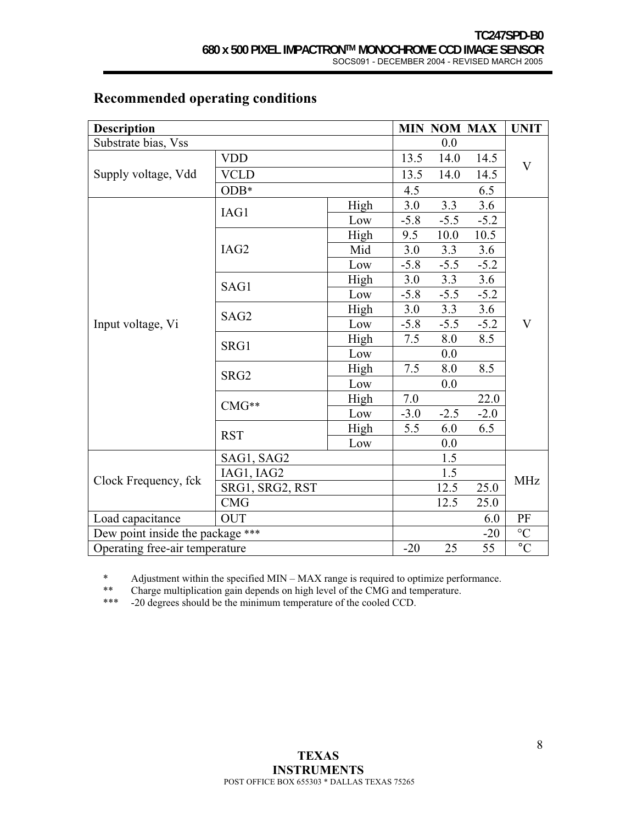| <b>Description</b>               |                  |      |         |        | <b>MIN NOM MAX</b> | <b>UNIT</b>     |  |
|----------------------------------|------------------|------|---------|--------|--------------------|-----------------|--|
| Substrate bias, Vss              |                  |      |         | 0.0    |                    |                 |  |
|                                  | <b>VDD</b>       |      | 13.5    | 14.0   | 14.5               | $\mathbf V$     |  |
| Supply voltage, Vdd              | <b>VCLD</b>      |      | 13.5    | 14.0   | 14.5               |                 |  |
|                                  | $ODB*$           |      | 4.5     |        | 6.5                |                 |  |
|                                  | IAG1             | High | 3.0     | 3.3    | 3.6                |                 |  |
|                                  |                  | Low  | $-5.8$  | $-5.5$ | $-5.2$             |                 |  |
|                                  |                  | High | 9.5     | 10.0   | 10.5               |                 |  |
|                                  | IAG2             | Mid  | 3.0     | 3.3    | 3.6                |                 |  |
|                                  |                  | Low  | $-5.8$  | $-5.5$ | $-5.2$             | V               |  |
|                                  |                  | High | 3.0     | 3.3    | 3.6                |                 |  |
|                                  | SAG1             | Low  | $-5.8$  | $-5.5$ | $-5.2$             |                 |  |
|                                  | SAG2             | High | 3.0     | 3.3    | 3.6                |                 |  |
| Input voltage, Vi                |                  | Low  | $-5.8$  | $-5.5$ | $-5.2$             |                 |  |
|                                  | SRG1             | High | 7.5     | 8.0    | 8.5                |                 |  |
|                                  |                  | Low  |         | 0.0    |                    |                 |  |
|                                  |                  | High | 7.5     | 8.0    | 8.5                |                 |  |
|                                  | SRG <sub>2</sub> | Low  |         | 0.0    |                    |                 |  |
|                                  | $CMG**$          | High | $7.0\,$ |        | 22.0               |                 |  |
|                                  |                  | Low  | $-3.0$  | $-2.5$ | $-2.0$             |                 |  |
|                                  | <b>RST</b>       | High | 5.5     | 6.0    | 6.5                |                 |  |
|                                  |                  | Low  |         | 0.0    |                    |                 |  |
|                                  | SAG1, SAG2       |      |         | 1.5    |                    |                 |  |
|                                  | IAG1, IAG2       |      |         | 1.5    |                    | <b>MHz</b>      |  |
| Clock Frequency, fck             | SRG1, SRG2, RST  |      |         | 12.5   | 25.0               |                 |  |
|                                  | CMG              |      |         | 12.5   | 25.0               |                 |  |
| Load capacitance                 | <b>OUT</b>       |      |         |        | 6.0                | PF              |  |
| Dew point inside the package *** |                  |      |         |        | $-20$              | $\rm ^{\circ}C$ |  |
| Operating free-air temperature   |                  |      | $-20$   | 25     | 55                 | $\overline{C}$  |  |

# **Recommended operating conditions**

\* Adjustment within the specified MIN – MAX range is required to optimize performance.<br>\*\* Charge multiplication gain depends on high layel of the CMG and temperature

\*\* Charge multiplication gain depends on high level of the CMG and temperature.<br>\*\*\* -20 degrees should be the minimum temperature of the cooled CCD.

-20 degrees should be the minimum temperature of the cooled CCD.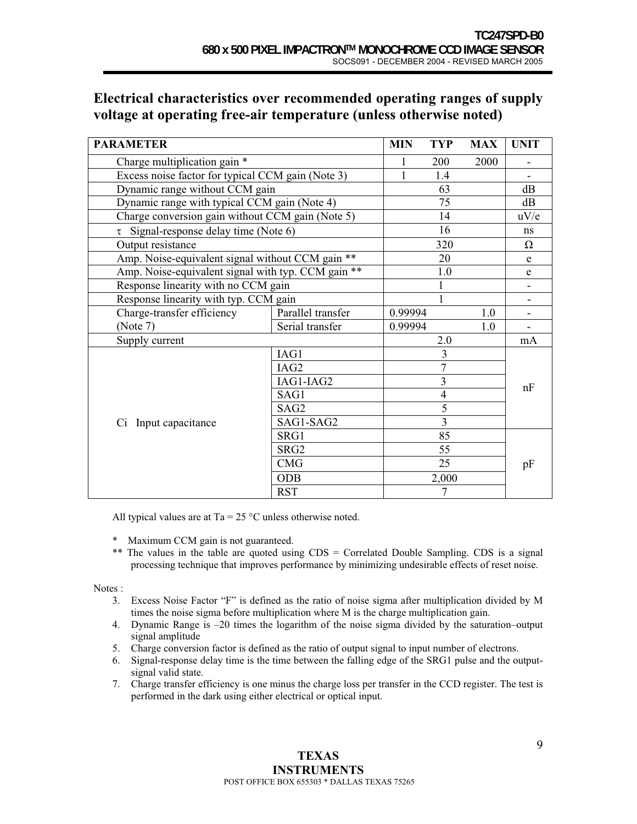# **Electrical characteristics over recommended operating ranges of supply voltage at operating free-air temperature (unless otherwise noted)**

| <b>PARAMETER</b>                                   |                   |                | <b>TYP</b>              | <b>MAX</b> | <b>UNIT</b> |  |
|----------------------------------------------------|-------------------|----------------|-------------------------|------------|-------------|--|
| Charge multiplication gain *                       |                   |                | 200                     | 2000       |             |  |
| Excess noise factor for typical CCM gain (Note 3)  |                   |                | 1.4                     |            |             |  |
| Dynamic range without CCM gain                     |                   |                | 63                      |            | dB          |  |
| Dynamic range with typical CCM gain (Note 4)       |                   |                | 75                      |            | dB          |  |
| Charge conversion gain without CCM gain (Note 5)   |                   |                | 14                      |            | uV/e        |  |
| $\tau$ Signal-response delay time (Note 6)         |                   |                | 16                      |            | ns          |  |
| Output resistance                                  |                   |                | 320                     |            | $\Omega$    |  |
| Amp. Noise-equivalent signal without CCM gain **   |                   |                | 20                      |            | e           |  |
| Amp. Noise-equivalent signal with typ. CCM gain ** |                   |                | 1.0                     |            | e           |  |
| Response linearity with no CCM gain                |                   |                | 1                       |            |             |  |
| Response linearity with typ. CCM gain              |                   |                |                         |            |             |  |
| Charge-transfer efficiency                         | Parallel transfer | 0.99994        |                         | 1.0        |             |  |
| (Note 7)                                           | Serial transfer   | 0.99994        |                         | 1.0        |             |  |
| Supply current                                     |                   |                | 2.0                     |            | mA          |  |
|                                                    | IAG1              |                | 3                       |            |             |  |
|                                                    | IAG2              | $\overline{7}$ |                         |            |             |  |
|                                                    | IAG1-IAG2         |                | $\overline{\mathbf{3}}$ |            | nF          |  |
|                                                    | SAG1              |                | $\overline{4}$          |            |             |  |
|                                                    | SAG <sub>2</sub>  |                | 5                       |            |             |  |
| Ci Input capacitance                               | SAG1-SAG2         |                | 3                       |            |             |  |
|                                                    | SRG1              |                | 85<br>55                |            |             |  |
|                                                    | SRG <sub>2</sub>  |                |                         |            |             |  |
|                                                    | <b>CMG</b>        |                | 25                      |            | pF          |  |
|                                                    | <b>ODB</b>        |                | 2,000                   |            |             |  |
|                                                    | <b>RST</b>        |                | 7                       |            |             |  |

All typical values are at Ta =  $25^{\circ}$ C unless otherwise noted.

- \* Maximum CCM gain is not guaranteed.
- \*\* The values in the table are quoted using CDS = Correlated Double Sampling. CDS is a signal processing technique that improves performance by minimizing undesirable effects of reset noise.

Notes :

- 3. Excess Noise Factor "F" is defined as the ratio of noise sigma after multiplication divided by M times the noise sigma before multiplication where M is the charge multiplication gain.
- 4. Dynamic Range is –20 times the logarithm of the noise sigma divided by the saturation–output signal amplitude
- 5. Charge conversion factor is defined as the ratio of output signal to input number of electrons.
- 6. Signal-response delay time is the time between the falling edge of the SRG1 pulse and the outputsignal valid state.
- 7. Charge transfer efficiency is one minus the charge loss per transfer in the CCD register. The test is performed in the dark using either electrical or optical input.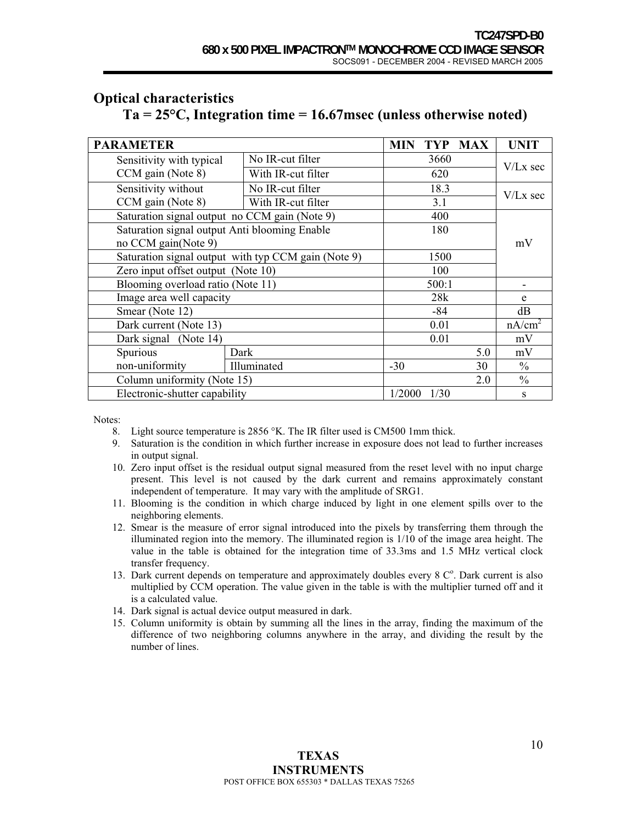| <b>PARAMETER</b>                              |                                                     | TYP MAX<br>MIN     | <b>UNIT</b>   |
|-----------------------------------------------|-----------------------------------------------------|--------------------|---------------|
| Sensitivity with typical                      | No IR-cut filter                                    | 3660               |               |
| CCM gain (Note 8)                             | With IR-cut filter                                  | 620                | $V/Lx$ sec    |
| Sensitivity without                           | No IR-cut filter                                    | 18.3               | $V/Lx$ sec    |
| CCM gain (Note 8)                             | With IR-cut filter                                  | 3.1                |               |
| Saturation signal output no CCM gain (Note 9) | 400                                                 |                    |               |
|                                               | Saturation signal output Anti blooming Enable       |                    |               |
| no CCM gain(Note 9)                           |                                                     | mV                 |               |
|                                               | Saturation signal output with typ CCM gain (Note 9) |                    |               |
|                                               | Zero input offset output (Note 10)                  |                    |               |
|                                               | Blooming overload ratio (Note 11)                   |                    |               |
| Image area well capacity                      | 28k                                                 | e                  |               |
| Smear (Note 12)                               |                                                     |                    |               |
| Dark current (Note 13)                        | 0.01                                                | nA/cm <sup>2</sup> |               |
| Dark signal (Note 14)                         | 0.01                                                | mV                 |               |
| Spurious                                      | Dark                                                | 5.0                | mV            |
| non-uniformity                                | Illuminated                                         | $-30$<br>30        | $\frac{0}{0}$ |
| Column uniformity (Note 15)                   | 2.0                                                 | $\frac{0}{0}$      |               |
| Electronic-shutter capability                 | 1/2000<br>1/30                                      | S                  |               |

## **Optical characteristics**

# **Ta = 25°C, Integration time = 16.67msec (unless otherwise noted)**

Notes:

- 8. Light source temperature is 2856 °K. The IR filter used is CM500 1mm thick.
- 9. Saturation is the condition in which further increase in exposure does not lead to further increases in output signal.
- 10. Zero input offset is the residual output signal measured from the reset level with no input charge present. This level is not caused by the dark current and remains approximately constant independent of temperature. It may vary with the amplitude of SRG1.
- 11. Blooming is the condition in which charge induced by light in one element spills over to the neighboring elements.
- 12. Smear is the measure of error signal introduced into the pixels by transferring them through the illuminated region into the memory. The illuminated region is 1/10 of the image area height. The value in the table is obtained for the integration time of 33.3ms and 1.5 MHz vertical clock transfer frequency.
- 13. Dark current depends on temperature and approximately doubles every 8  $C^{\circ}$ . Dark current is also multiplied by CCM operation. The value given in the table is with the multiplier turned off and it is a calculated value.
- 14. Dark signal is actual device output measured in dark.
- 15. Column uniformity is obtain by summing all the lines in the array, finding the maximum of the difference of two neighboring columns anywhere in the array, and dividing the result by the number of lines.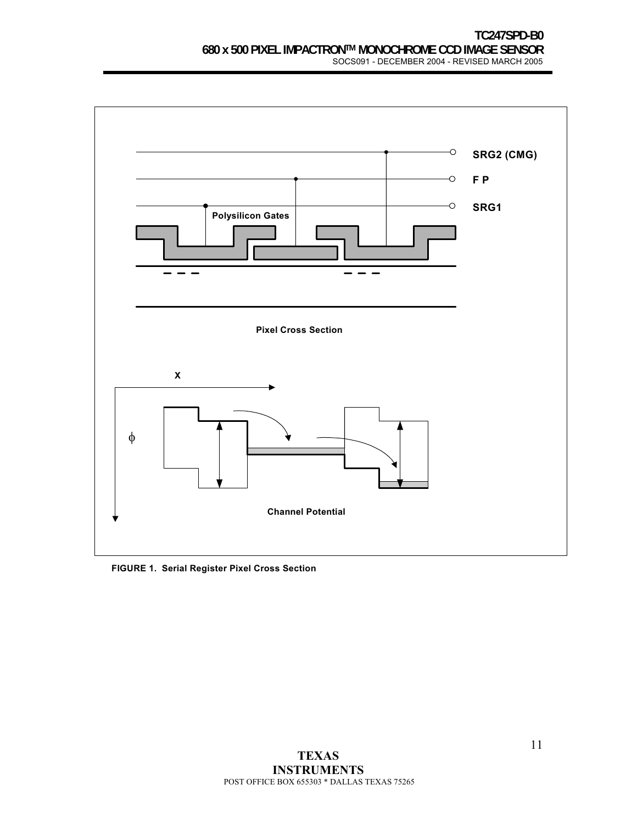

#### **FIGURE 1. Serial Register Pixel Cross Section**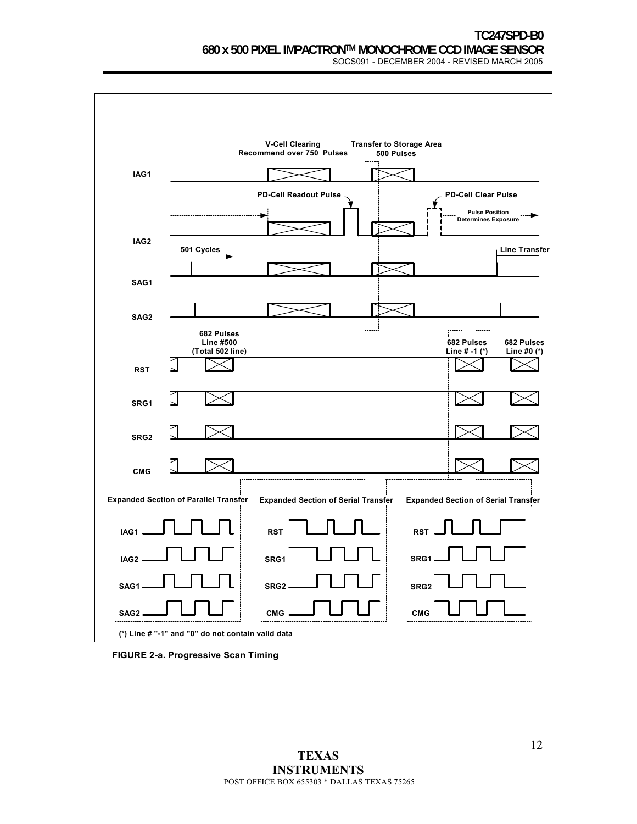

**FIGURE 2-a. Progressive Scan Timing**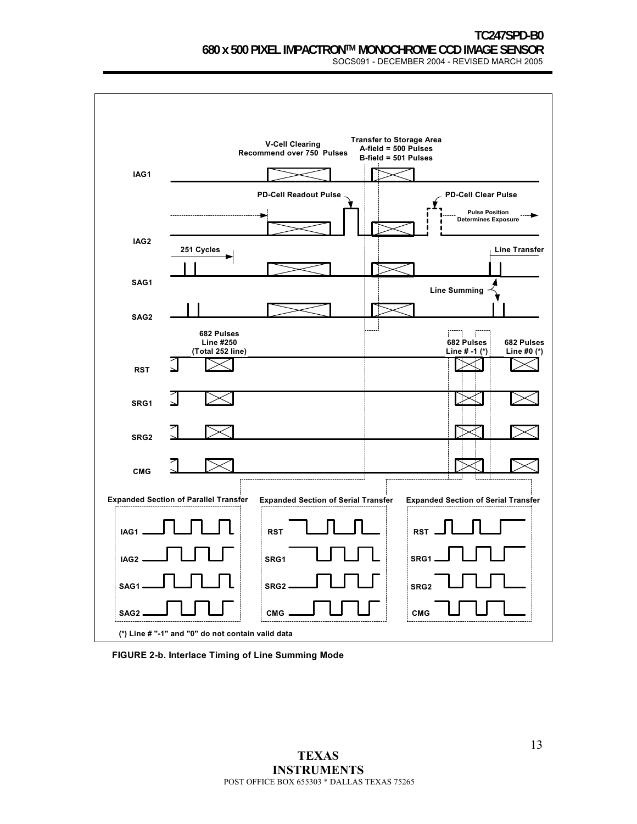

**FIGURE 2-b. Interlace Timing of Line Summing Mode**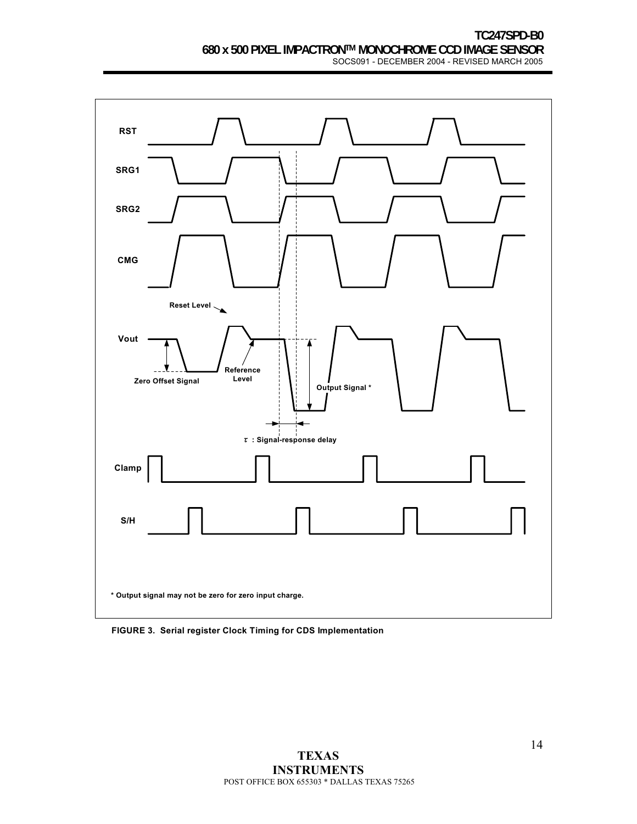

**FIGURE 3. Serial register Clock Timing for CDS Implementation**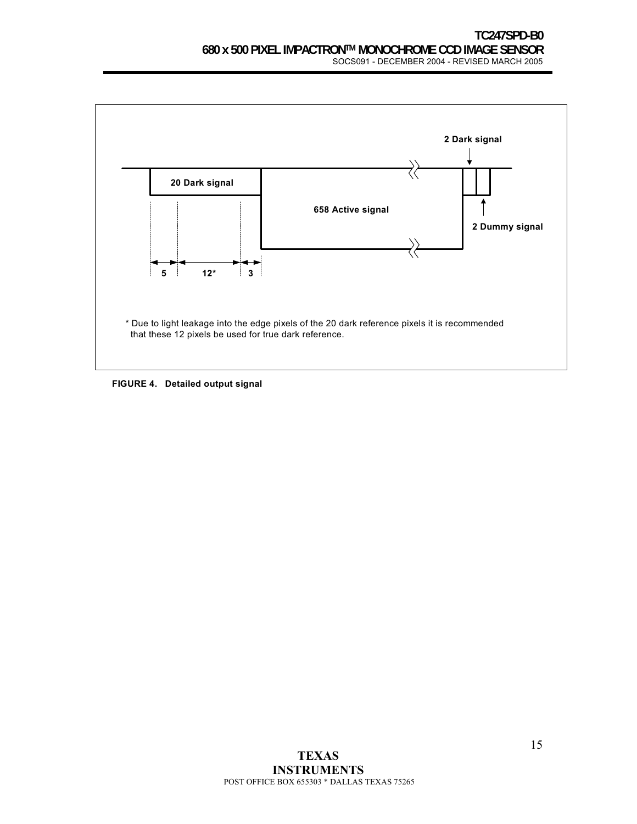

**FIGURE 4. Detailed output signal**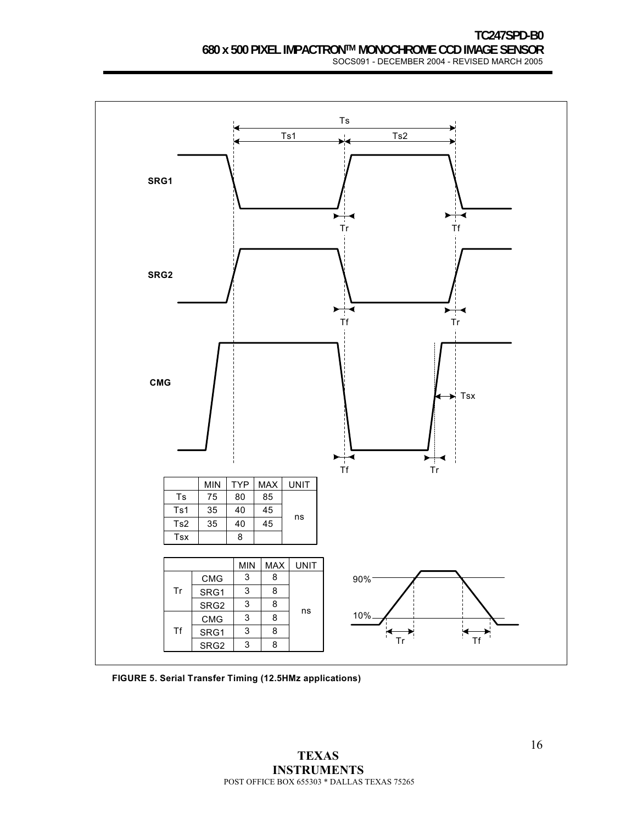

**FIGURE 5. Serial Transfer Timing (12.5HMz applications)**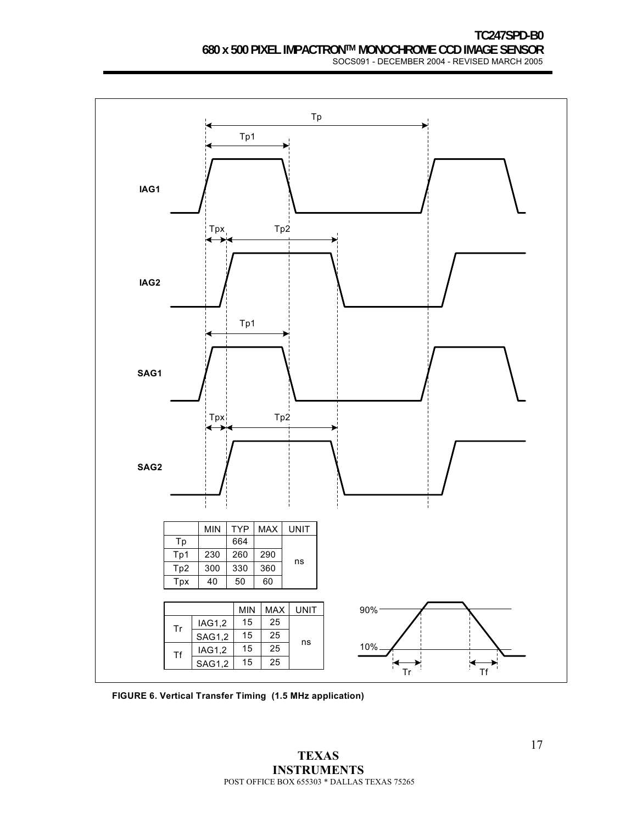

**FIGURE 6. Vertical Transfer Timing (1.5 MHz application)**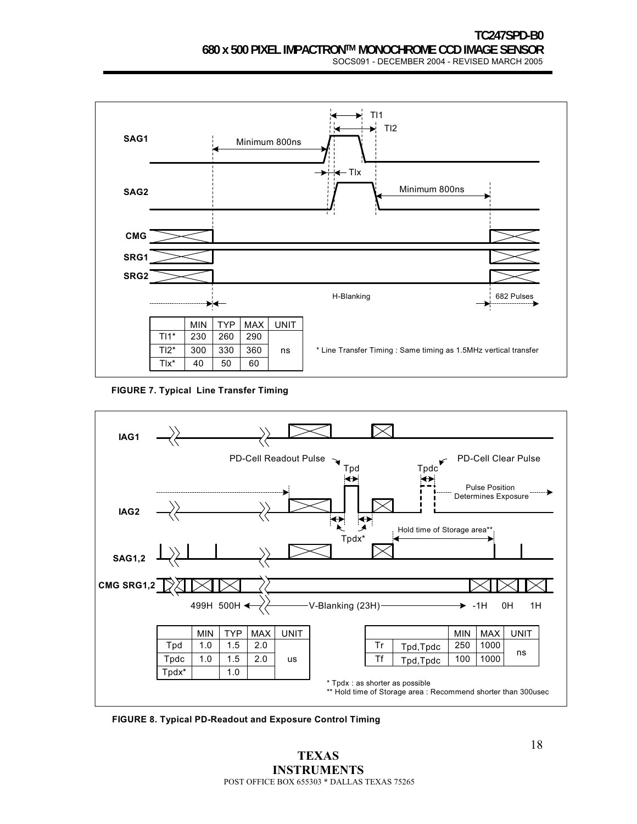

**FIGURE 7. Typical Line Transfer Timing**



**FIGURE 8. Typical PD-Readout and Exposure Control Timing**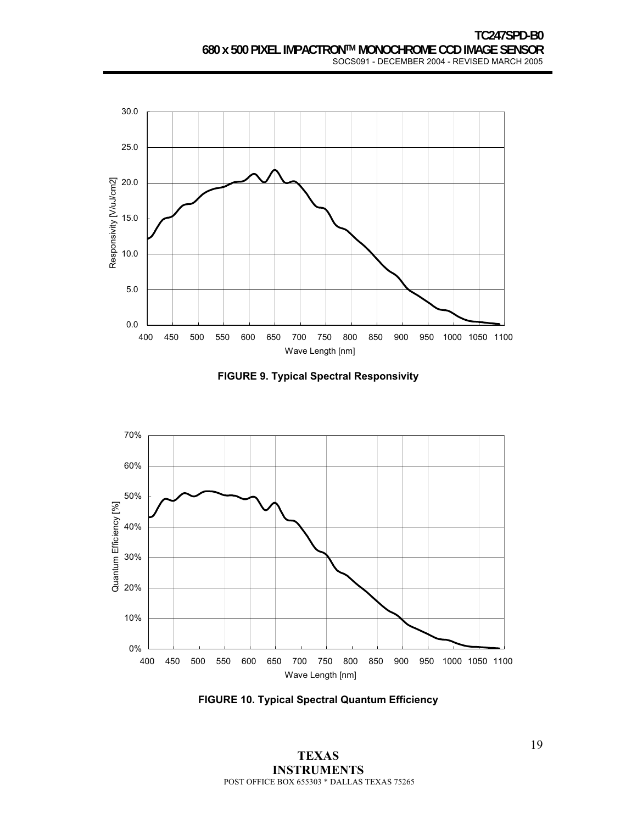

**FIGURE 9. Typical Spectral Responsivity**



**FIGURE 10. Typical Spectral Quantum Efficiency**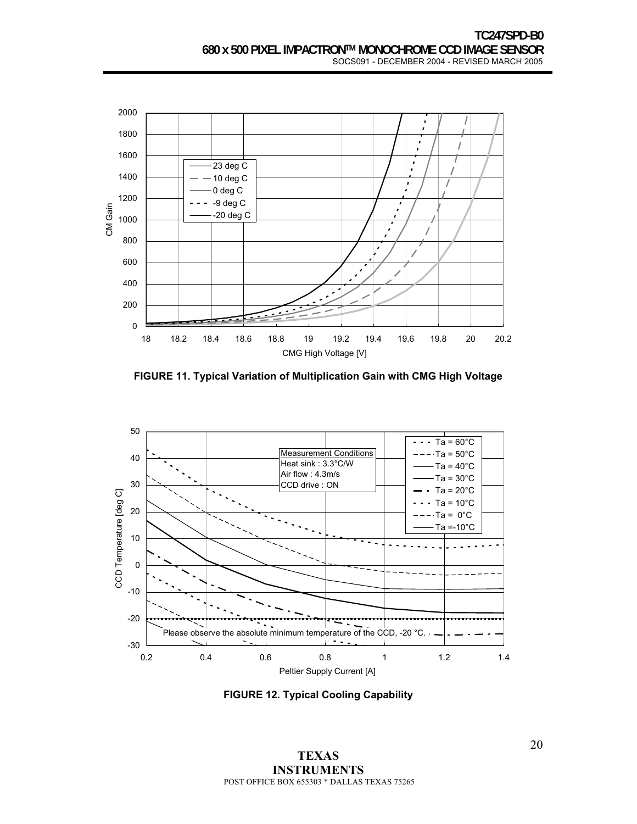

**FIGURE 11. Typical Variation of Multiplication Gain with CMG High Voltage**



**FIGURE 12. Typical Cooling Capability**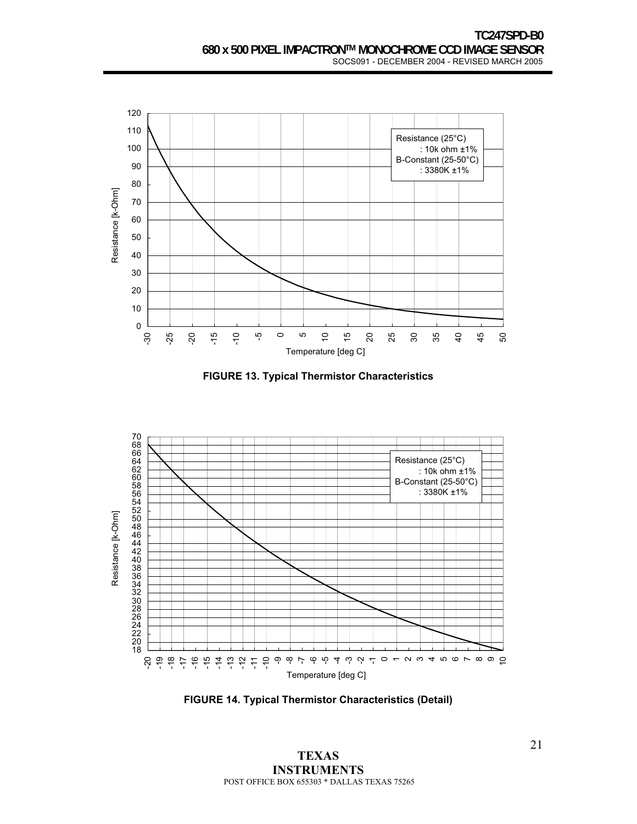

**FIGURE 13. Typical Thermistor Characteristics**



**FIGURE 14. Typical Thermistor Characteristics (Detail)**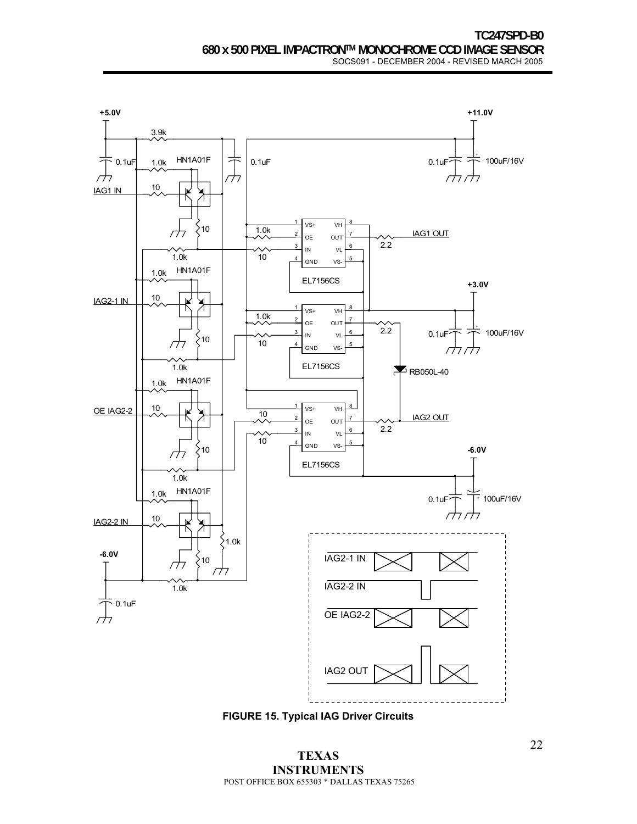

**FIGURE 15. Typical IAG Driver Circuits**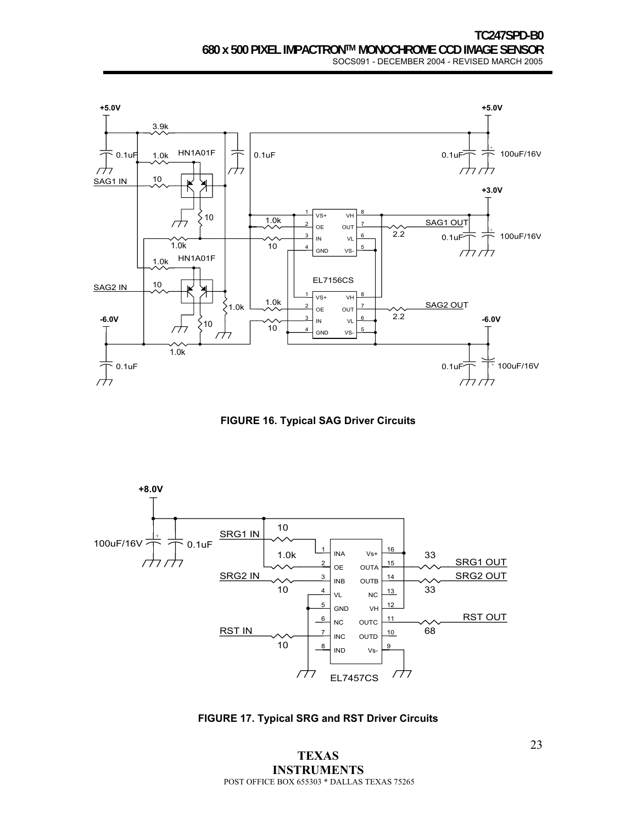

**FIGURE 16. Typical SAG Driver Circuits** 



**FIGURE 17. Typical SRG and RST Driver Circuits**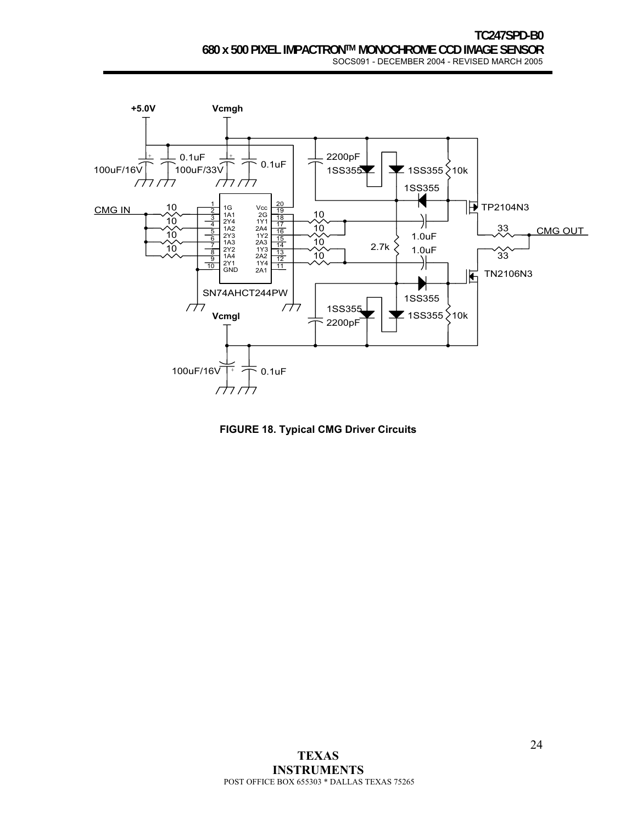

**FIGURE 18. Typical CMG Driver Circuits**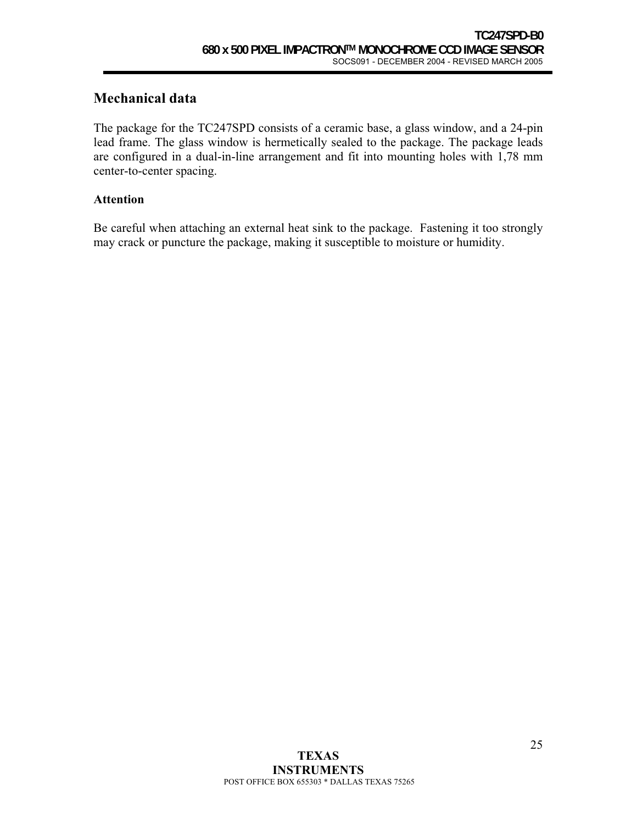## **Mechanical data**

The package for the TC247SPD consists of a ceramic base, a glass window, and a 24-pin lead frame. The glass window is hermetically sealed to the package. The package leads are configured in a dual-in-line arrangement and fit into mounting holes with 1,78 mm center-to-center spacing.

### **Attention**

Be careful when attaching an external heat sink to the package. Fastening it too strongly may crack or puncture the package, making it susceptible to moisture or humidity.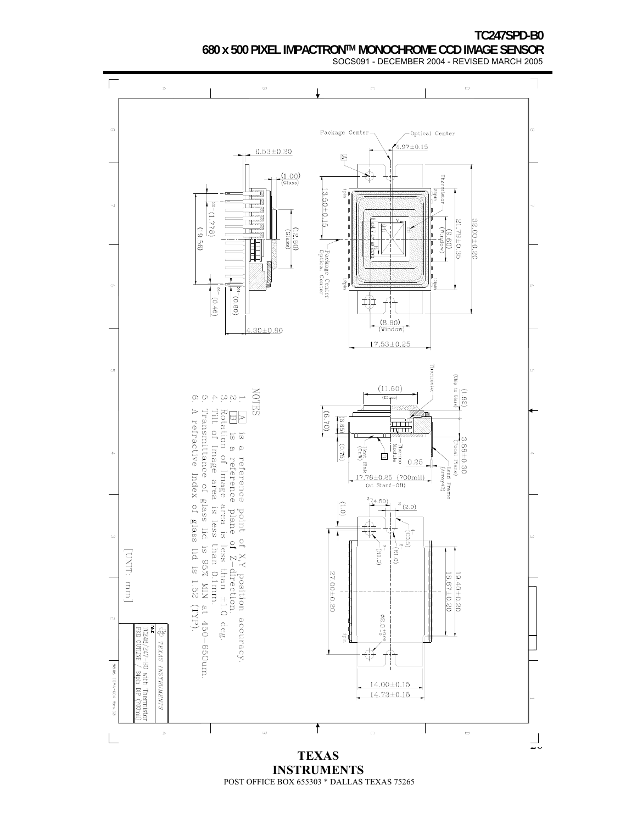

POST OFFICE BOX 655303 \* DALLAS TEXAS 75265